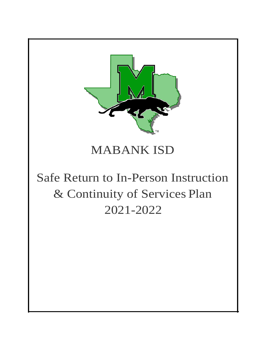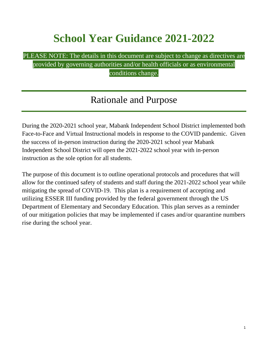# **School Year Guidance 2021-2022**

#### PLEASE NOTE: The details in this document are subject to change as directives are provided by governing authorities and/or health officials or as environmental conditions change.

### Rationale and Purpose

During the 2020-2021 school year, Mabank Independent School District implemented both Face-to-Face and Virtual Instructional models in response to the COVID pandemic. Given the success of in-person instruction during the 2020-2021 school year Mabank Independent School District will open the 2021-2022 school year with in-person instruction as the sole option for all students.

The purpose of this document is to outline operational protocols and procedures that will allow for the continued safety of students and staff during the 2021-2022 school year while mitigating the spread of COVID-19. This plan is a requirement of accepting and utilizing ESSER III funding provided by the federal government through the US Department of Elementary and Secondary Education. This plan serves as a reminder of our mitigation policies that may be implemented if cases and/or quarantine numbers rise during the school year.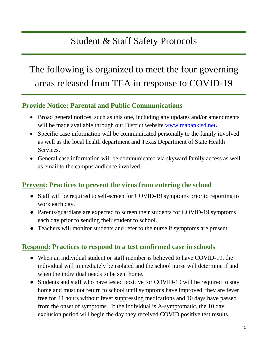## Student & Staff Safety Protocols

## The following is organized to meet the four governing areas released from TEA in response to COVID-19

### **Provide Notice: Parental and Public Communications**

- Broad general notices, such as this one, including any updates and/or amendments will be made available through our District website [www.mabankisd.net](http://www.mabankisd.net/)**.**
- Specific case information will be communicated personally to the family involved as well as the local health department and Texas Department of State Health Services.
- General case information will be communicated via skyward family access as well as email to the campus audience involved.

#### **Prevent: Practices to prevent the virus from entering the school**

- Staff will be required to self-screen for COVID-19 symptoms prior to reporting to work each day.
- Parents/guardians are expected to screen their students for COVID-19 symptoms each day prior to sending their student to school.
- Teachers will monitor students and refer to the nurse if symptoms are present.

#### **Respond: Practices to respond to a test confirmed case in schools**

- When an individual student or staff member is believed to have COVID-19, the individual will immediately be isolated and the school nurse will determine if and when the individual needs to be sent home.
- Students and staff who have tested positive for COVID-19 will be required to stay home and must not return to school until symptoms have improved, they are fever free for 24 hours without fever suppressing medications and 10 days have passed from the onset of symptoms. If the individual is A-symptomatic, the 10 day exclusion period will begin the day they received COVID positive test results.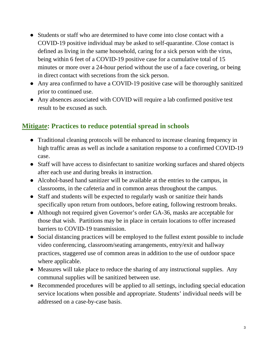- Students or staff who are determined to have come into close contact with a COVID-19 positive individual may be asked to self-quarantine. Close contact is defined as living in the same household, caring for a sick person with the virus, being within 6 feet of a COVID-19 positive case for a cumulative total of 15 minutes or more over a 24-hour period without the use of a face covering, or being in direct contact with secretions from the sick person.
- Any area confirmed to have a COVID-19 positive case will be thoroughly sanitized prior to continued use.
- Any absences associated with COVID will require a lab confirmed positive test result to be excused as such.

### **Mitigate: Practices to reduce potential spread in schools**

- Traditional cleaning protocols will be enhanced to increase cleaning frequency in high traffic areas as well as include a sanitation response to a confirmed COVID-19 case.
- Staff will have access to disinfectant to sanitize working surfaces and shared objects after each use and during breaks in instruction.
- Alcohol-based hand sanitizer will be available at the entries to the campus, in classrooms, in the cafeteria and in common areas throughout the campus.
- Staff and students will be expected to regularly wash or sanitize their hands specifically upon return from outdoors, before eating, following restroom breaks.
- Although not required given Governor's order GA-36, masks are acceptable for those that wish. Partitions may be in place in certain locations to offer increased barriers to COVID-19 transmission.
- Social distancing practices will be employed to the fullest extent possible to include video conferencing, classroom/seating arrangements, entry/exit and hallway practices, staggered use of common areas in addition to the use of outdoor space where applicable.
- Measures will take place to reduce the sharing of any instructional supplies. Any communal supplies will be sanitized between use.
- Recommended procedures will be applied to all settings, including special education service locations when possible and appropriate. Students' individual needs will be addressed on a case-by-case basis.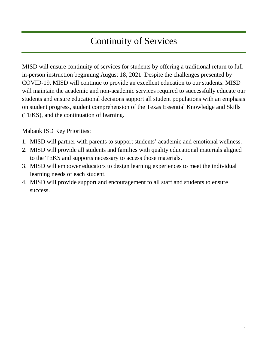## Continuity of Services

MISD will ensure continuity of services for students by offering a traditional return to full in-person instruction beginning August 18, 2021. Despite the challenges presented by COVID-19, MISD will continue to provide an excellent education to our students. MISD will maintain the academic and non-academic services required to successfully educate our students and ensure educational decisions support all student populations with an emphasis on student progress, student comprehension of the Texas Essential Knowledge and Skills (TEKS), and the continuation of learning.

#### Mabank ISD Key Priorities:

- 1. MISD will partner with parents to support students' academic and emotional wellness.
- 2. MISD will provide all students and families with quality educational materials aligned to the TEKS and supports necessary to access those materials.
- 3. MISD will empower educators to design learning experiences to meet the individual learning needs of each student.
- 4. MISD will provide support and encouragement to all staff and students to ensure success.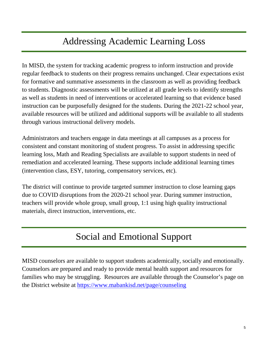## Addressing Academic Learning Loss

In MISD, the system for tracking academic progress to inform instruction and provide regular feedback to students on their progress remains unchanged. Clear expectations exist for formative and summative assessments in the classroom as well as providing feedback to students. Diagnostic assessments will be utilized at all grade levels to identify strengths as well as students in need of interventions or accelerated learning so that evidence based instruction can be purposefully designed for the students. During the 2021-22 school year, available resources will be utilized and additional supports will be available to all students through various instructional delivery models.

Administrators and teachers engage in data meetings at all campuses as a process for consistent and constant monitoring of student progress. To assist in addressing specific learning loss, Math and Reading Specialists are available to support students in need of remediation and accelerated learning. These supports include additional learning times (intervention class, ESY, tutoring, compensatory services, etc).

The district will continue to provide targeted summer instruction to close learning gaps due to COVID disruptions from the 2020-21 school year. During summer instruction, teachers will provide whole group, small group, 1:1 using high quality instructional materials, direct instruction, interventions, etc.

## Social and Emotional Support

MISD counselors are available to support students academically, socially and emotionally. Counselors are prepared and ready to provide mental health support and resources for families who may be struggling. Resources are available through the Counselor's page on the District website at<https://www.mabankisd.net/page/counseling>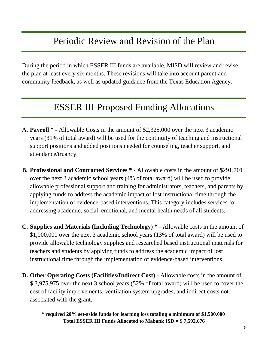### Periodic Review and Revision of the Plan

During the period in which ESSER III funds are available, MISD will review and revise the plan at least every six months. These revisions will take into account parent and community feedback, as well as updated guidance from the Texas Education Agency.

### ESSER III Proposed Funding Allocations

- **A. Payroll \*** Allowable Costs in the amount of \$2,325,000 over the next 3 academic years (31% of total award) will be used for the continuity of teaching and instructional support positions and added positions needed for counseling, teacher support, and attendance/truancy.
- **B. Professional and Contracted Services \*** Allowable costs in the amount of \$291,701 over the next 3 academic school years (4% of total award) will be used to provide allowable professional support and training for administrators, teachers, and parents by applying funds to address the academic impact of lost instructional time through the implementation of evidence-based interventions. This category includes services for addressing academic, social, emotional, and mental health needs of all students.
- **C. Supplies and Materials (Including Technology) \*** Allowable costs in the amount of \$1,000,000 over the next 3 academic school years (13% of total award) will be used to provide allowable technology supplies and researched based instructional materials for teachers and students by applying funds to address the academic impact of lost instructional time through the implementation of evidence-based interventions.
- **D. Other Operating Costs (Facilities/Indirect Cost)** Allowable costs in the amount of \$ 3,975,975 over the next 3 school years (52% of total award) will be used to cover the cost of facility improvements, ventilation system upgrades, and indirect costs not associated with the grant.

**\* required 20% set-aside funds for learning loss totaling a minimum of \$1,500,000 Total ESSER III Funds Allocated to Mabank ISD = \$ 7,592,676**